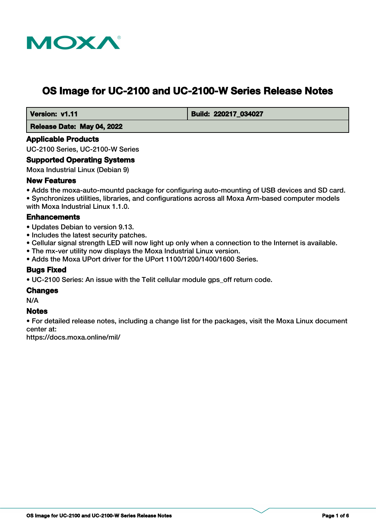

# **OS Image for UC-2100 and UC-2100-W Series Release Notes**

 **Version: v1.11 Build: 220217 034027** 

 **Release Date: May 04, 2022**

#### **Applicable Products**

UC-2100 Series, UC-2100-W Series

#### **Supported Operating Systems**

Moxa Industrial Linux (Debian 9)

#### **New Features**

• Adds the moxa-auto-mountd package for configuring auto-mounting of USB devices and SD card. • Synchronizes utilities, libraries, and configurations across all Moxa Arm-based computer models with Moxa Industrial Linux 1.1.0.

#### **Enhancements**

- Updates Debian to version 9.13.
- Includes the latest security patches.
- Cellular signal strength LED will now light up only when a connection to the Internet is available.
- The mx-ver utility now displays the Moxa Industrial Linux version.
- Adds the Moxa UPort driver for the UPort 1100/1200/1400/1600 Series.

## **Bugs Fixed**

• UC-2100 Series: An issue with the Telit cellular module gps\_off return code.

#### **Changes**

N/A

## **Notes**

• For detailed release notes, including a change list for the packages, visit the Moxa Linux document center at:

https://docs.moxa.online/mil/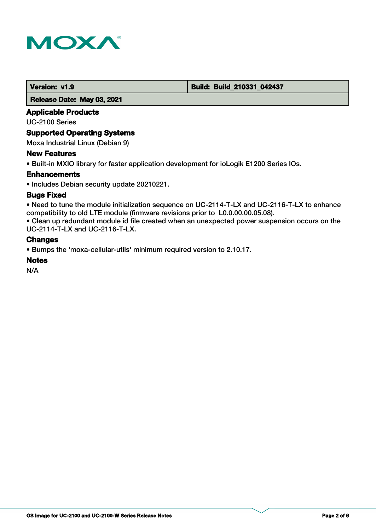

#### **Version: v1.9 Build: Build: Build: Build: 210331\_042437**

 **Release Date: May 03, 2021**

## **Applicable Products**

UC-2100 Series

#### **Supported Operating Systems**

Moxa Industrial Linux (Debian 9)

#### **New Features**

• Built-in MXIO library for faster application development for ioLogik E1200 Series IOs.

#### **Enhancements**

• Includes Debian security update 20210221.

#### **Bugs Fixed**

• Need to tune the module initialization sequence on UC-2114-T-LX and UC-2116-T-LX to enhance compatibility to old LTE module (firmware revisions prior to L0.0.00.00.05.08).

• Clean up redundant module id file created when an unexpected power suspension occurs on the UC-2114-T-LX and UC-2116-T-LX.

#### **Changes**

• Bumps the 'moxa-cellular-utils' minimum required version to 2.10.17.

#### **Notes**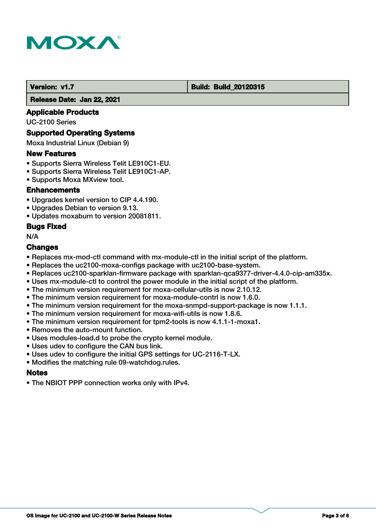

#### **Version: v1.7 Build: Build: Build: 20120315**

 **Release Date: Jan 22, 2021**

#### **Applicable Products**

UC-2100 Series

#### **Supported Operating Systems**

Moxa Industrial Linux (Debian 9)

#### **New Features**

- Supports Sierra Wireless Telit LE910C1-EU.
- Supports Sierra Wireless Telit LE910C1-AP.
- Supports Moxa MXview tool.

#### **Enhancements**

- Upgrades kernel version to CIP 4.4.190.
- Upgrades Debian to version 9.13.
- Updates moxaburn to version 20081811.

#### **Bugs Fixed**

N/A

## **Changes**

- Replaces mx-mod-ctl command with mx-module-ctl in the initial script of the platform.
- Replaces the uc2100-moxa-configs package with uc2100-base-system.
- Replaces uc2100-sparklan-firmware package with sparklan-qca9377-driver-4.4.0-cip-am335x.
- Uses mx-module-ctl to control the power module in the initial script of the platform.
- The minimum version requirement for moxa-cellular-utils is now 2.10.12.
- The minimum version requirement for moxa-module-contrl is now 1.6.0.
- The minimum version requirement for the moxa-snmpd-support-package is now 1.1.1.
- The minimum version requirement for moxa-wifi-utils is now 1.8.6.
- The minimum version requirement for tpm2-tools is now 4.1.1-1-moxa1.
- Removes the auto-mount function.
- Uses modules-load.d to probe the crypto kernel module.
- Uses udev to configure the CAN bus link.
- Uses udev to configure the initial GPS settings for UC-2116-T-LX.
- Modifies the matching rule 09-watchdog.rules.

#### **Notes**

• The NBIOT PPP connection works only with IPv4.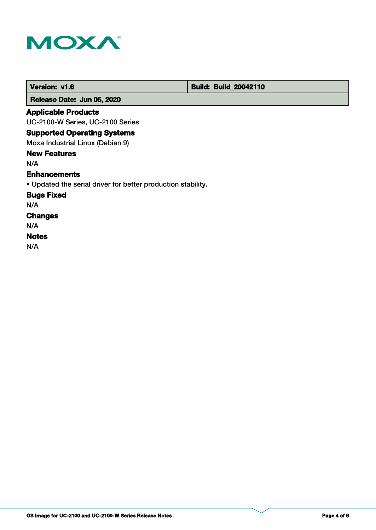

 **Version: v1.6 Build: Build: Build: 20042110** 

 **Release Date: Jun 05, 2020**

## **Applicable Products**

UC-2100-W Series, UC-2100 Series

## **Supported Operating Systems**

Moxa Industrial Linux (Debian 9)

## **New Features**

N/A

#### **Enhancements**

• Updated the serial driver for better production stability.

## **Bugs Fixed**

N/A

## **Changes**

N/A

## **Notes**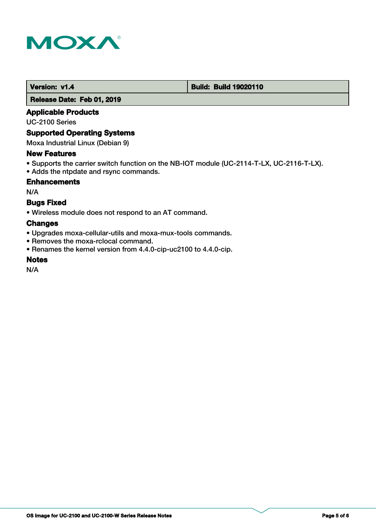

#### **Version: v1.4 1.4 Build: Build: Build 19020110**

 **Release Date: Feb 01, 2019**

## **Applicable Products**

UC-2100 Series

#### **Supported Operating Systems**

Moxa Industrial Linux (Debian 9)

#### **New Features**

- Supports the carrier switch function on the NB-IOT module (UC-2114-T-LX, UC-2116-T-LX).
- Adds the ntpdate and rsync commands.

#### **Enhancements**

N/A

## **Bugs Fixed**

• Wireless module does not respond to an AT command.

## **Changes**

- Upgrades moxa-cellular-utils and moxa-mux-tools commands.
- Removes the moxa-rclocal command.
- Renames the kernel version from 4.4.0-cip-uc2100 to 4.4.0-cip.

#### **Notes**